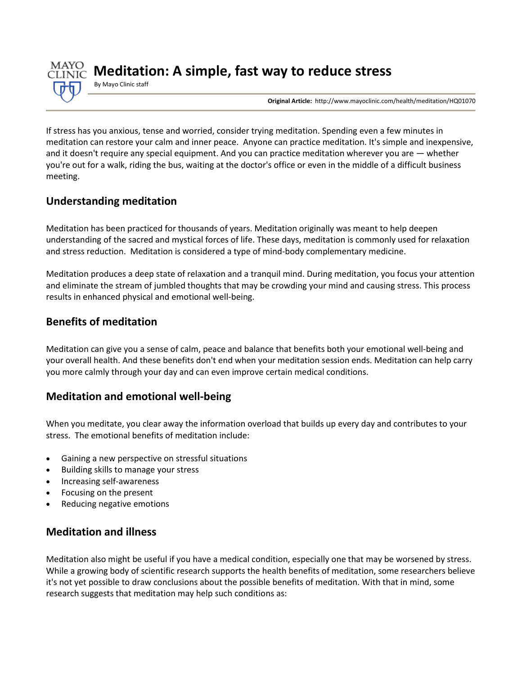

**Meditation: A simple, fast way to reduce stress**

**Original Article:** <http://www.mayoclinic.com/health/meditation/HQ01070>

If stress has you anxious, tense and worried, consider trying meditation. Spending even a few minutes in meditation can restore your calm and inner peace. Anyone can practice meditation. It's simple and inexpensive, and it doesn't require any special equipment. And you can practice meditation wherever you are — whether you're out for a walk, riding the bus, waiting at the doctor's office or even in the middle of a difficult business meeting.

## **Understanding meditation**

[By Mayo Clinic staff](http://www.mayoclinic.com/health/AboutThisSite/AM00057)

Meditation has been practiced for thousands of years. Meditation originally was meant to help deepen understanding of the sacred and mystical forces of life. These days, meditation is commonly used for relaxation and stress reduction. Meditation is considered a type of mind-body complementary medicine.

Meditation produces a deep state of relaxation and a tranquil mind. During meditation, you focus your attention and eliminate the stream of jumbled thoughts that may be crowding your mind and causing stress. This process results in enhanced physical and emotional well-being.

### **Benefits of meditation**

Meditation can give you a sense of calm, peace and balance that benefits both your emotional well-being and your overall health. And these benefits don't end when your meditation session ends. Meditation can help carry you more calmly through your day and can even improve certain medical conditions.

#### **Meditation and emotional well-being**

When you meditate, you clear away the information overload that builds up every day and contributes to your stress. The emotional benefits of meditation include:

- Gaining a new perspective on stressful situations
- Building skills to manage your stress
- Increasing self-awareness
- Focusing on the present
- Reducing negative emotions

## **Meditation and illness**

Meditation also might be useful if you have a medical condition, especially one that may be worsened by stress. While a growing body of scientific research supports the health benefits of meditation, some researchers believe it's not yet possible to draw conclusions about the possible benefits of meditation. With that in mind, some research suggests that meditation may help such conditions as: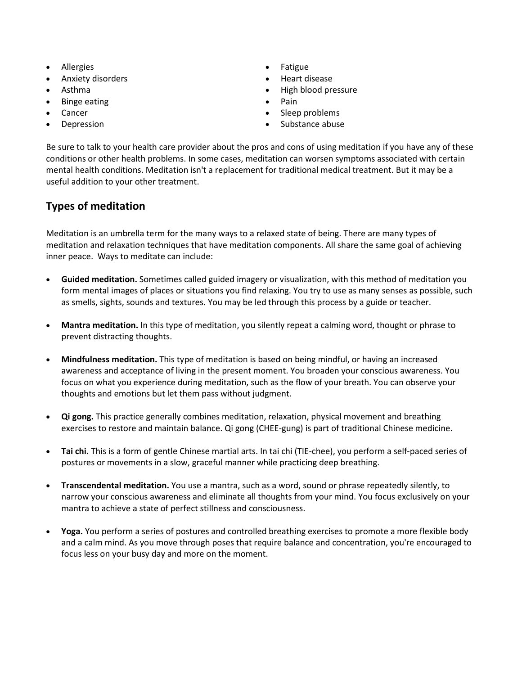- Allergies
- Anxiety disorders
- Asthma
- Binge eating
- **Cancer**
- **Depression**
- Fatigue
- Heart disease
- High blood pressure
- Pain
- Sleep problems
- Substance abuse

Be sure to talk to your health care provider about the pros and cons of using meditation if you have any of these conditions or other health problems. In some cases, meditation can worsen symptoms associated with certain mental health conditions. Meditation isn't a replacement for traditional medical treatment. But it may be a useful addition to your other treatment.

# **Types of meditation**

Meditation is an umbrella term for the many ways to a relaxed state of being. There are many types of meditation and relaxation techniques that have meditation components. All share the same goal of achieving inner peace. Ways to meditate can include:

- **Guided meditation.** Sometimes called guided imagery or visualization, with this method of meditation you form mental images of places or situations you find relaxing. You try to use as many senses as possible, such as smells, sights, sounds and textures. You may be led through this process by a guide or teacher.
- **Mantra meditation.** In this type of meditation, you silently repeat a calming word, thought or phrase to prevent distracting thoughts.
- **Mindfulness meditation.** This type of meditation is based on being mindful, or having an increased awareness and acceptance of living in the present moment. You broaden your conscious awareness. You focus on what you experience during meditation, such as the flow of your breath. You can observe your thoughts and emotions but let them pass without judgment.
- **Qi gong.** This practice generally combines meditation, relaxation, physical movement and breathing exercises to restore and maintain balance. Qi gong (CHEE-gung) is part of traditional Chinese medicine.
- **Tai chi.** This is a form of gentle Chinese martial arts. In tai chi (TIE-chee), you perform a self-paced series of postures or movements in a slow, graceful manner while practicing deep breathing.
- **Transcendental meditation.** You use a mantra, such as a word, sound or phrase repeatedly silently, to narrow your conscious awareness and eliminate all thoughts from your mind. You focus exclusively on your mantra to achieve a state of perfect stillness and consciousness.
- **Yoga.** You perform a series of postures and controlled breathing exercises to promote a more flexible body and a calm mind. As you move through poses that require balance and concentration, you're encouraged to focus less on your busy day and more on the moment.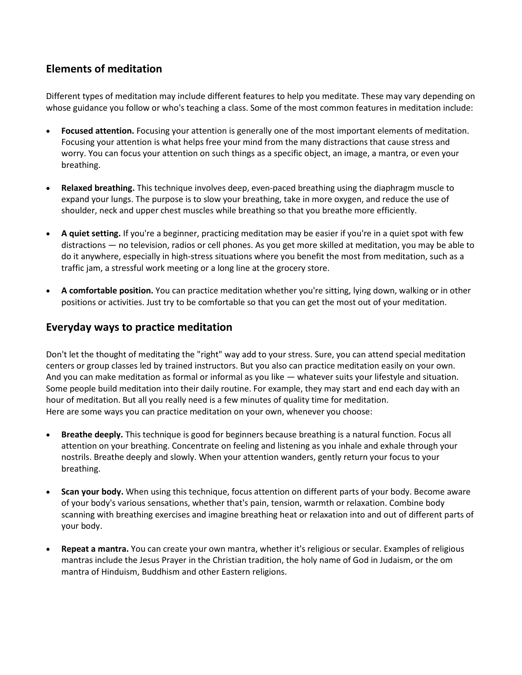# **Elements of meditation**

Different types of meditation may include different features to help you meditate. These may vary depending on whose guidance you follow or who's teaching a class. Some of the most common features in meditation include:

- **Focused attention.** Focusing your attention is generally one of the most important elements of meditation. Focusing your attention is what helps free your mind from the many distractions that cause stress and worry. You can focus your attention on such things as a specific object, an image, a mantra, or even your breathing.
- **Relaxed breathing.** This technique involves deep, even-paced breathing using the diaphragm muscle to expand your lungs. The purpose is to slow your breathing, take in more oxygen, and reduce the use of shoulder, neck and upper chest muscles while breathing so that you breathe more efficiently.
- **A quiet setting.** If you're a beginner, practicing meditation may be easier if you're in a quiet spot with few distractions — no television, radios or cell phones. As you get more skilled at meditation, you may be able to do it anywhere, especially in high-stress situations where you benefit the most from meditation, such as a traffic jam, a stressful work meeting or a long line at the grocery store.
- **A comfortable position.** You can practice meditation whether you're sitting, lying down, walking or in other positions or activities. Just try to be comfortable so that you can get the most out of your meditation.

## **Everyday ways to practice meditation**

Don't let the thought of meditating the "right" way add to your stress. Sure, you can attend special meditation centers or group classes led by trained instructors. But you also can practice meditation easily on your own. And you can make meditation as formal or informal as you like — whatever suits your lifestyle and situation. Some people build meditation into their daily routine. For example, they may start and end each day with an hour of meditation. But all you really need is a few minutes of quality time for meditation. Here are some ways you can practice meditation on your own, whenever you choose:

- **Breathe deeply.** This technique is good for beginners because breathing is a natural function. Focus all attention on your breathing. Concentrate on feeling and listening as you inhale and exhale through your nostrils. Breathe deeply and slowly. When your attention wanders, gently return your focus to your breathing.
- **Scan your body.** When using this technique, focus attention on different parts of your body. Become aware of your body's various sensations, whether that's pain, tension, warmth or relaxation. Combine body scanning with breathing exercises and imagine breathing heat or relaxation into and out of different parts of your body.
- **Repeat a mantra.** You can create your own mantra, whether it's religious or secular. Examples of religious mantras include the Jesus Prayer in the Christian tradition, the holy name of God in Judaism, or the om mantra of Hinduism, Buddhism and other Eastern religions.